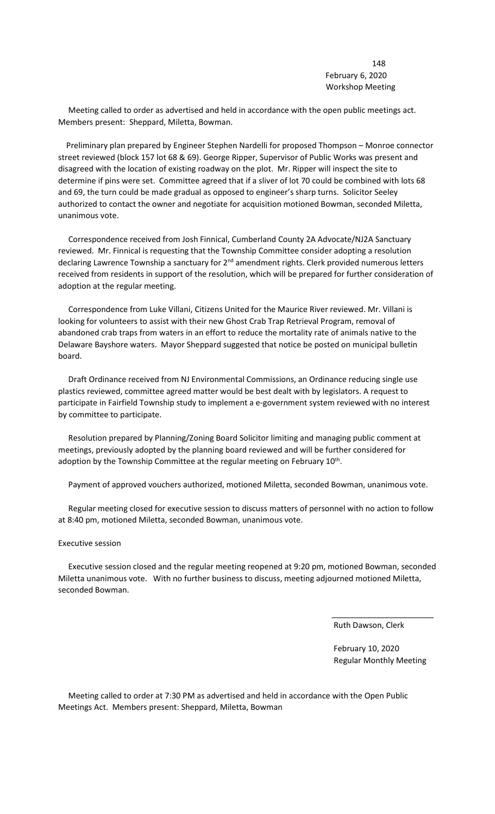## 148 February 6, 2020 Workshop Meeting

 Meeting called to order as advertised and held in accordance with the open public meetings act. Members present: Sheppard, Miletta, Bowman.

 Preliminary plan prepared by Engineer Stephen Nardelli for proposed Thompson – Monroe connector street reviewed (block 157 lot 68 & 69). George Ripper, Supervisor of Public Works was present and disagreed with the location of existing roadway on the plot. Mr. Ripper will inspect the site to determine if pins were set. Committee agreed that if a sliver of lot 70 could be combined with lots 68 and 69, the turn could be made gradual as opposed to engineer's sharp turns. Solicitor Seeley authorized to contact the owner and negotiate for acquisition motioned Bowman, seconded Miletta, unanimous vote.

 Correspondence received from Josh Finnical, Cumberland County 2A Advocate/NJ2A Sanctuary reviewed. Mr. Finnical is requesting that the Township Committee consider adopting a resolution declaring Lawrence Township a sanctuary for 2<sup>nd</sup> amendment rights. Clerk provided numerous letters received from residents in support of the resolution, which will be prepared for further consideration of adoption at the regular meeting.

 Correspondence from Luke Villani, Citizens United for the Maurice River reviewed. Mr. Villani is looking for volunteers to assist with their new Ghost Crab Trap Retrieval Program, removal of abandoned crab traps from waters in an effort to reduce the mortality rate of animals native to the Delaware Bayshore waters. Mayor Sheppard suggested that notice be posted on municipal bulletin board.

 Draft Ordinance received from NJ Environmental Commissions, an Ordinance reducing single use plastics reviewed, committee agreed matter would be best dealt with by legislators. A request to participate in Fairfield Township study to implement a e-government system reviewed with no interest by committee to participate.

 Resolution prepared by Planning/Zoning Board Solicitor limiting and managing public comment at meetings, previously adopted by the planning board reviewed and will be further considered for adoption by the Township Committee at the regular meeting on February 10<sup>th</sup>.

Payment of approved vouchers authorized, motioned Miletta, seconded Bowman, unanimous vote.

 Regular meeting closed for executive session to discuss matters of personnel with no action to follow at 8:40 pm, motioned Miletta, seconded Bowman, unanimous vote.

## Executive session

 Executive session closed and the regular meeting reopened at 9:20 pm, motioned Bowman, seconded Miletta unanimous vote. With no further business to discuss, meeting adjourned motioned Miletta, seconded Bowman.

 $\overline{\phantom{a}}$  , which is a set of the contract of the contract of the contract of the contract of the contract of the contract of the contract of the contract of the contract of the contract of the contract of the contract

Ruth Dawson, Clerk

 February 10, 2020 Regular Monthly Meeting

 Meeting called to order at 7:30 PM as advertised and held in accordance with the Open Public Meetings Act. Members present: Sheppard, Miletta, Bowman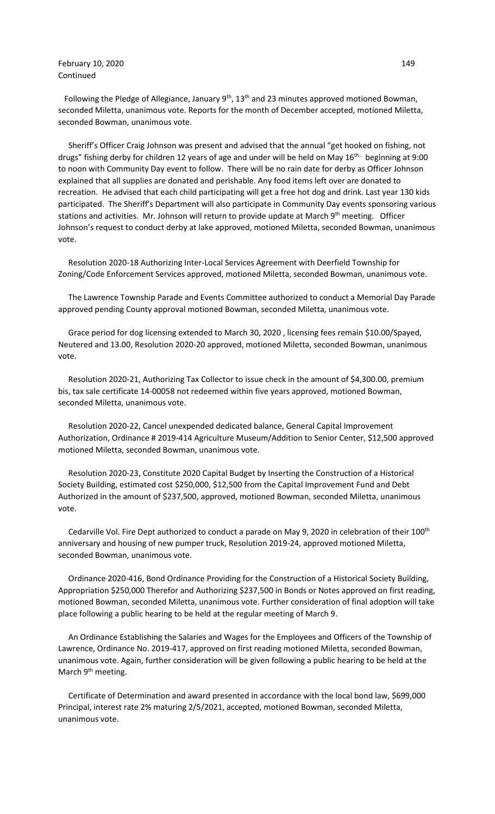## **February 10, 2020** 149 Continued

Following the Pledge of Allegiance, January 9<sup>th</sup>, 13<sup>th</sup> and 23 minutes approved motioned Bowman, seconded Miletta, unanimous vote. Reports for the month of December accepted, motioned Miletta, seconded Bowman, unanimous vote.

 Sheriff's Officer Craig Johnson was present and advised that the annual "get hooked on fishing, not drugs" fishing derby for children 12 years of age and under will be held on May 16<sup>th..</sup> beginning at 9:00 to noon with Community Day event to follow. There will be no rain date for derby as Officer Johnson explained that all supplies are donated and perishable. Any food items left over are donated to recreation. He advised that each child participating will get a free hot dog and drink. Last year 130 kids participated. The Sheriff's Department will also participate in Community Day events sponsoring various stations and activities. Mr. Johnson will return to provide update at March 9<sup>th</sup> meeting. Officer Johnson's request to conduct derby at lake approved, motioned Miletta, seconded Bowman, unanimous vote.

 Resolution 2020-18 Authorizing Inter-Local Services Agreement with Deerfield Township for Zoning/Code Enforcement Services approved, motioned Miletta, seconded Bowman, unanimous vote.

 The Lawrence Township Parade and Events Committee authorized to conduct a Memorial Day Parade approved pending County approval motioned Bowman, seconded Miletta, unanimous vote.

 Grace period for dog licensing extended to March 30, 2020 , licensing fees remain \$10.00/Spayed, Neutered and 13.00, Resolution 2020-20 approved, motioned Miletta, seconded Bowman, unanimous vote.

 Resolution 2020-21, Authorizing Tax Collector to issue check in the amount of \$4,300.00, premium bis, tax sale certificate 14-00058 not redeemed within five years approved, motioned Bowman, seconded Miletta, unanimous vote.

 Resolution 2020-22, Cancel unexpended dedicated balance, General Capital Improvement Authorization, Ordinance # 2019-414 Agriculture Museum/Addition to Senior Center, \$12,500 approved motioned Miletta, seconded Bowman, unanimous vote.

 Resolution 2020-23, Constitute 2020 Capital Budget by Inserting the Construction of a Historical Society Building, estimated cost \$250,000, \$12,500 from the Capital Improvement Fund and Debt Authorized in the amount of \$237,500, approved, motioned Bowman, seconded Miletta, unanimous vote.

 Cedarville Vol. Fire Dept authorized to conduct a parade on May 9, 2020 in celebration of their 100th anniversary and housing of new pumper truck, Resolution 2019-24, approved motioned Miletta, seconded Bowman, unanimous vote.

 Ordinance 2020-416, Bond Ordinance Providing for the Construction of a Historical Society Building, Appropriation \$250,000 Therefor and Authorizing \$237,500 in Bonds or Notes approved on first reading, motioned Bowman, seconded Miletta, unanimous vote. Further consideration of final adoption will take place following a public hearing to be held at the regular meeting of March 9.

 An Ordinance Establishing the Salaries and Wages for the Employees and Officers of the Township of Lawrence, Ordinance No. 2019-417, approved on first reading motioned Miletta, seconded Bowman, unanimous vote. Again, further consideration will be given following a public hearing to be held at the March 9<sup>th</sup> meeting.

 Certificate of Determination and award presented in accordance with the local bond law, \$699,000 Principal, interest rate 2% maturing 2/5/2021, accepted, motioned Bowman, seconded Miletta, unanimous vote.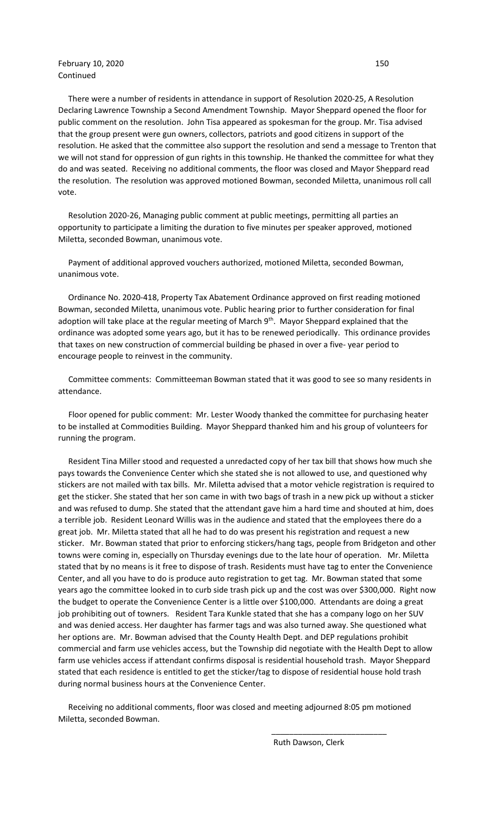## **February 10, 2020** 150 Continued

 There were a number of residents in attendance in support of Resolution 2020-25, A Resolution Declaring Lawrence Township a Second Amendment Township. Mayor Sheppard opened the floor for public comment on the resolution. John Tisa appeared as spokesman for the group. Mr. Tisa advised that the group present were gun owners, collectors, patriots and good citizens in support of the resolution. He asked that the committee also support the resolution and send a message to Trenton that we will not stand for oppression of gun rights in this township. He thanked the committee for what they do and was seated. Receiving no additional comments, the floor was closed and Mayor Sheppard read the resolution. The resolution was approved motioned Bowman, seconded Miletta, unanimous roll call vote.

 Resolution 2020-26, Managing public comment at public meetings, permitting all parties an opportunity to participate a limiting the duration to five minutes per speaker approved, motioned Miletta, seconded Bowman, unanimous vote.

 Payment of additional approved vouchers authorized, motioned Miletta, seconded Bowman, unanimous vote.

 Ordinance No. 2020-418, Property Tax Abatement Ordinance approved on first reading motioned Bowman, seconded Miletta, unanimous vote. Public hearing prior to further consideration for final adoption will take place at the regular meeting of March 9<sup>th</sup>. Mayor Sheppard explained that the ordinance was adopted some years ago, but it has to be renewed periodically. This ordinance provides that taxes on new construction of commercial building be phased in over a five- year period to encourage people to reinvest in the community.

 Committee comments: Committeeman Bowman stated that it was good to see so many residents in attendance.

 Floor opened for public comment: Mr. Lester Woody thanked the committee for purchasing heater to be installed at Commodities Building. Mayor Sheppard thanked him and his group of volunteers for running the program.

 Resident Tina Miller stood and requested a unredacted copy of her tax bill that shows how much she pays towards the Convenience Center which she stated she is not allowed to use, and questioned why stickers are not mailed with tax bills. Mr. Miletta advised that a motor vehicle registration is required to get the sticker. She stated that her son came in with two bags of trash in a new pick up without a sticker and was refused to dump. She stated that the attendant gave him a hard time and shouted at him, does a terrible job. Resident Leonard Willis was in the audience and stated that the employees there do a great job. Mr. Miletta stated that all he had to do was present his registration and request a new sticker. Mr. Bowman stated that prior to enforcing stickers/hang tags, people from Bridgeton and other towns were coming in, especially on Thursday evenings due to the late hour of operation. Mr. Miletta stated that by no means is it free to dispose of trash. Residents must have tag to enter the Convenience Center, and all you have to do is produce auto registration to get tag. Mr. Bowman stated that some years ago the committee looked in to curb side trash pick up and the cost was over \$300,000. Right now the budget to operate the Convenience Center is a little over \$100,000. Attendants are doing a great job prohibiting out of towners. Resident Tara Kunkle stated that she has a company logo on her SUV and was denied access. Her daughter has farmer tags and was also turned away. She questioned what her options are. Mr. Bowman advised that the County Health Dept. and DEP regulations prohibit commercial and farm use vehicles access, but the Township did negotiate with the Health Dept to allow farm use vehicles access if attendant confirms disposal is residential household trash. Mayor Sheppard stated that each residence is entitled to get the sticker/tag to dispose of residential house hold trash during normal business hours at the Convenience Center.

 Receiving no additional comments, floor was closed and meeting adjourned 8:05 pm motioned Miletta, seconded Bowman.

 $\overline{\phantom{a}}$  , and the contract of the contract of the contract of the contract of the contract of the contract of the contract of the contract of the contract of the contract of the contract of the contract of the contrac

Ruth Dawson, Clerk